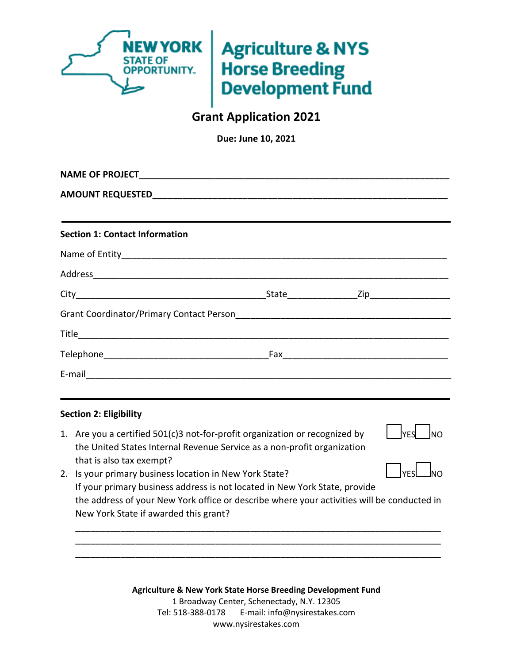

# **Agriculture & NYS Horse Breeding Development Fund**

## **Grant Application 2021**

**Due: June 10, 2021** 

| ,我们也不会有什么。""我们的人,我们也不会有什么?""我们的人,我们也不会有什么?""我们的人,我们也不会有什么?""我们的人,我们也不会有什么?""我们的人 |  |
|----------------------------------------------------------------------------------|--|
| <b>Section 1: Contact Information</b>                                            |  |
|                                                                                  |  |
|                                                                                  |  |
|                                                                                  |  |
|                                                                                  |  |
|                                                                                  |  |
|                                                                                  |  |
|                                                                                  |  |
|                                                                                  |  |

### **Section 2: Eligibility**

1. Are you a certified 501(c)3 not-for-profit organization or recognized by the United States Internal Revenue Service as a non-profit organization that is also tax exempt?



2. Is your primary business location in New York State? If your primary business address is not located in New York State, provide the address of your New York office or describe where your activities will be conducted in New York State if awarded this grant? \_\_|YES└─\_\_**|**NO

\_\_\_\_\_\_\_\_\_\_\_\_\_\_\_\_\_\_\_\_\_\_\_\_\_\_\_\_\_\_\_\_\_\_\_\_\_\_\_\_\_\_\_\_\_\_\_\_\_\_\_\_\_\_\_\_\_\_\_\_\_\_\_\_\_\_\_\_\_\_\_\_\_ \_\_\_\_\_\_\_\_\_\_\_\_\_\_\_\_\_\_\_\_\_\_\_\_\_\_\_\_\_\_\_\_\_\_\_\_\_\_\_\_\_\_\_\_\_\_\_\_\_\_\_\_\_\_\_\_\_\_\_\_\_\_\_\_\_\_\_\_\_\_\_\_\_ \_\_\_\_\_\_\_\_\_\_\_\_\_\_\_\_\_\_\_\_\_\_\_\_\_\_\_\_\_\_\_\_\_\_\_\_\_\_\_\_\_\_\_\_\_\_\_\_\_\_\_\_\_\_\_\_\_\_\_\_\_\_\_\_\_\_\_\_\_\_\_\_\_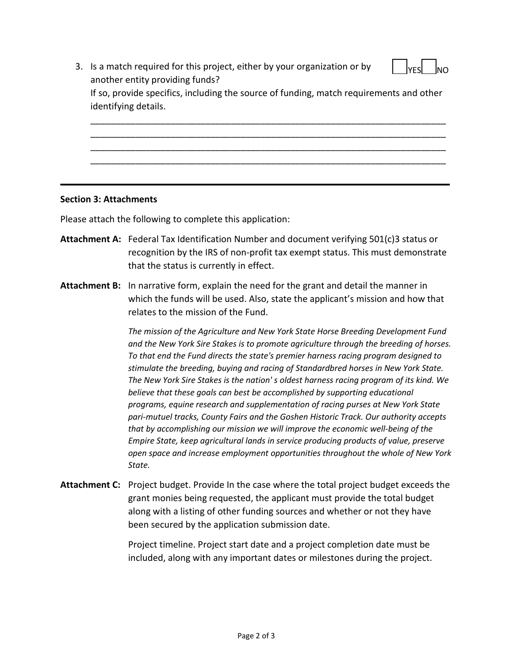3. Is a match required for this project, either by your organization or by another entity providing funds? If so, provide specifics, including the source of funding, match requirements and other identifying details. \_\_\_\_\_\_\_\_\_\_\_\_\_\_\_\_\_\_\_\_\_\_\_\_\_\_\_\_\_\_\_\_\_\_\_\_\_\_\_\_\_\_\_\_\_\_\_\_\_\_\_\_\_\_\_\_\_\_\_\_\_\_\_\_\_\_\_\_\_\_\_ <u>IYES</u> INO

\_\_\_\_\_\_\_\_\_\_\_\_\_\_\_\_\_\_\_\_\_\_\_\_\_\_\_\_\_\_\_\_\_\_\_\_\_\_\_\_\_\_\_\_\_\_\_\_\_\_\_\_\_\_\_\_\_\_\_\_\_\_\_\_\_\_\_\_\_\_\_ \_\_\_\_\_\_\_\_\_\_\_\_\_\_\_\_\_\_\_\_\_\_\_\_\_\_\_\_\_\_\_\_\_\_\_\_\_\_\_\_\_\_\_\_\_\_\_\_\_\_\_\_\_\_\_\_\_\_\_\_\_\_\_\_\_\_\_\_\_\_\_ \_\_\_\_\_\_\_\_\_\_\_\_\_\_\_\_\_\_\_\_\_\_\_\_\_\_\_\_\_\_\_\_\_\_\_\_\_\_\_\_\_\_\_\_\_\_\_\_\_\_\_\_\_\_\_\_\_\_\_\_\_\_\_\_\_\_\_\_\_\_\_

#### **Section 3: Attachments**

Please attach the following to complete this application:

- **Attachment A:** Federal Tax Identification Number and document verifying 501(c)3 status or recognition by the IRS of non-profit tax exempt status. This must demonstrate that the status is currently in effect.
- **Attachment B:** In narrative form, explain the need for the grant and detail the manner in which the funds will be used. Also, state the applicant's mission and how that relates to the mission of the Fund.

*The mission of the Agriculture and New York State Horse Breeding Development Fund and the New York Sire Stakes is to promote agriculture through the breeding of horses. To that end the Fund directs the state's premier harness racing program designed to stimulate the breeding, buying and racing of Standardbred horses in New York State. The New York Sire Stakes is the nation' s oldest harness racing program of its kind. We believe that these goals can best be accomplished by supporting educational programs, equine research and supplementation of racing purses at New York State pari-mutuel tracks, County Fairs and the Goshen Historic Track. Our authority accepts that by accomplishing our mission we will improve the economic well-being of the Empire State, keep agricultural lands in service producing products of value, preserve open space and increase employment opportunities throughout the whole of New York State.*

**Attachment C:** Project budget. Provide In the case where the total project budget exceeds the grant monies being requested, the applicant must provide the total budget along with a listing of other funding sources and whether or not they have been secured by the application submission date.

> Project timeline. Project start date and a project completion date must be included, along with any important dates or milestones during the project.